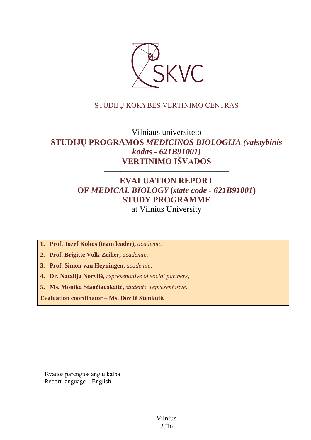

## STUDIJŲ KOKYBĖS VERTINIMO CENTRAS

# Vilniaus universiteto **STUDIJŲ PROGRAMOS** *MEDICINOS BIOLOGIJA (valstybinis kodas - 621B91001)* **VERTINIMO IŠVADOS**

––––––––––––––––––––––––––––––

# **EVALUATION REPORT OF** *MEDICAL BIOLOGY* **(***state code - 621B91001***) STUDY PROGRAMME** at Vilnius University

**1. Prof. Jozef Kobos (team leader),** *academic,*

**2. Prof. Brigitte Volk-Zeiher,** *academic,*

**3. Prof. Simon van Heyningen,** *academic,*

**4. Dr. Natalija Norvilė,** *representative of social partners,*

**5. Ms. Monika Stančiauskaitė,** *students' representative*.

**Evaluation coordinator – Ms. Dovilė Stonkutė.**

Išvados parengtos anglų kalba Report language – English

> Vilnius 2016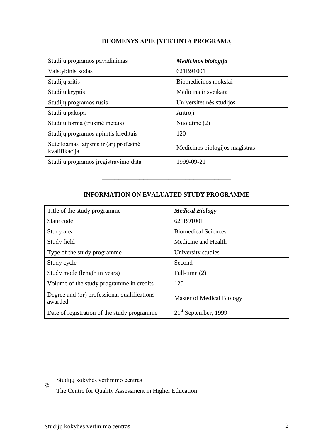## **DUOMENYS APIE ĮVERTINTĄ PROGRAMĄ**

| Studijų programos pavadinimas                           | Medicinos biologija            |
|---------------------------------------------------------|--------------------------------|
| Valstybinis kodas                                       | 621B91001                      |
| Studijų sritis                                          | Biomedicinos mokslai           |
| Studijų kryptis                                         | Medicina ir sveikata           |
| Studijų programos rūšis                                 | Universitetinės studijos       |
| Studijų pakopa                                          | Antroji                        |
| Studijų forma (trukmė metais)                           | Nuolatinė (2)                  |
| Studijų programos apimtis kreditais                     | 120                            |
| Suteikiamas laipsnis ir (ar) profesinė<br>kvalifikacija | Medicinos biologijos magistras |
| Studijų programos įregistravimo data                    | 1999-09-21                     |

## **INFORMATION ON EVALUATED STUDY PROGRAMME**

–––––––––––––––––––––––––––––––

| Title of the study programme.                          | <b>Medical Biology</b>     |
|--------------------------------------------------------|----------------------------|
| State code                                             | 621B91001                  |
| Study area                                             | <b>Biomedical Sciences</b> |
| Study field                                            | Medicine and Health        |
| Type of the study programme.                           | University studies         |
| Study cycle                                            | Second                     |
| Study mode (length in years)                           | Full-time $(2)$            |
| Volume of the study programme in credits               | 120                        |
| Degree and (or) professional qualifications<br>awarded | Master of Medical Biology  |
| Date of registration of the study programme            | $21st$ September, 1999     |

 $\odot$ Studijų kokybės vertinimo centras

The Centre for Quality Assessment in Higher Education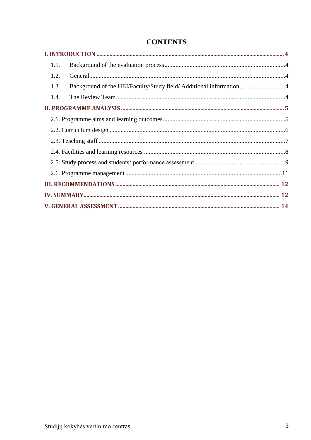| 1.1.                                                                       |  |
|----------------------------------------------------------------------------|--|
| 1.2.                                                                       |  |
| Background of the HEI/Faculty/Study field/ Additional information4<br>1.3. |  |
| 1.4.                                                                       |  |
|                                                                            |  |
|                                                                            |  |
|                                                                            |  |
|                                                                            |  |
|                                                                            |  |
|                                                                            |  |
|                                                                            |  |
|                                                                            |  |
|                                                                            |  |
|                                                                            |  |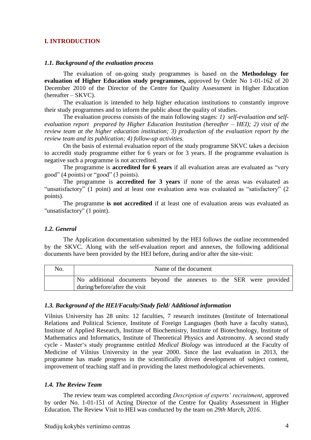#### <span id="page-3-0"></span>**I. INTRODUCTION**

#### <span id="page-3-1"></span>*1.1. Background of the evaluation process*

The evaluation of on-going study programmes is based on the **Methodology for evaluation of Higher Education study programmes,** approved by Order No 1-01-162 of 20 December 2010 of the Director of the Centre for Quality Assessment in Higher Education (hereafter – SKVC).

The evaluation is intended to help higher education institutions to constantly improve their study programmes and to inform the public about the quality of studies.

The evaluation process consists of the main following stages: *1) self-evaluation and selfevaluation report prepared by Higher Education Institution (hereafter – HEI); 2) visit of the review team at the higher education institution; 3) production of the evaluation report by the review team and its publication; 4) follow-up activities.* 

On the basis of external evaluation report of the study programme SKVC takes a decision to accredit study programme either for 6 years or for 3 years. If the programme evaluation is negative such a programme is not accredited.

The programme is **accredited for 6 years** if all evaluation areas are evaluated as "very good" (4 points) or "good" (3 points).

The programme is **accredited for 3 years** if none of the areas was evaluated as "unsatisfactory" (1 point) and at least one evaluation area was evaluated as "satisfactory" (2 points).

The programme **is not accredited** if at least one of evaluation areas was evaluated as "unsatisfactory" (1 point).

#### <span id="page-3-2"></span>*1.2. General*

The Application documentation submitted by the HEI follows the outline recommended by the SKVC. Along with the self-evaluation report and annexes, the following additional documents have been provided by the HEI before, during and/or after the site-visit:

| No. | Name of the document |  |                                                                                                      |  |  |  |  |  |  |  |  |
|-----|----------------------|--|------------------------------------------------------------------------------------------------------|--|--|--|--|--|--|--|--|
|     |                      |  | No additional documents beyond the annexes to the SER were provided<br>during/before/after the visit |  |  |  |  |  |  |  |  |

#### <span id="page-3-3"></span>*1.3. Background of the HEI/Faculty/Study field/ Additional information*

Vilnius University has 28 units: 12 faculties, 7 research institutes (Institute of International Relations and Political Science, Institute of Foreign Languages (both have a faculty status), Institute of Applied Research, Institute of Biochemistry, Institute of Biotechnology, Institute of Mathematics and Informatics, Institute of Theoretical Physics and Astronomy. A second study cycle - Master's study programme entitled *Medical Biology* was introduced at the Faculty of Medicine of Vilnius University in the year 2000. Since the last evaluation in 2013, the programme has made progress in the scientifically driven development of subject content, improvement of teaching staff and in providing the latest methodological achievements.

#### <span id="page-3-4"></span>*1.4. The Review Team*

The review team was completed according *Description of experts' recruitment*, approved by order No. 1-01-151 of Acting Director of the Centre for Quality Assessment in Higher Education. The Review Visit to HEI was conducted by the team on *29th March, 2016.*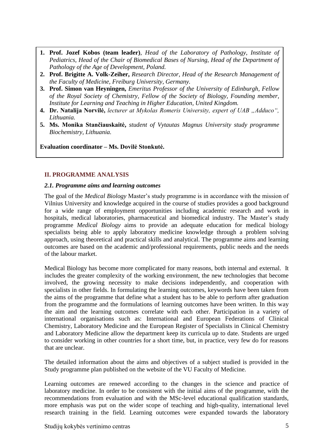- **1. Prof. Jozef Kobos (team leader)**, *Head of the Laboratory of Pathology, Institute of Pediatrics, Head of the Chair of Biomedical Bases of Nursing, Head of the Department of Pathology of the Age of Development, Poland.*
- **2. Prof. Brigitte A. Volk-Zeiher,** *Research Director, Head of the Research Management of the Faculty of Medicine, Freiburg University, Germany.*
- **3. Prof. Simon van Heyningen,** *Emeritus Professor of the University of Edinburgh, Fellow of the Royal Society of Chemistry, Fellow of the Society of Biology, Founding member, Institute for Learning and Teaching in Higher Education, United Kingdom.*
- 4. Dr. Natalija Norvilė, lecturer at Mykolas Romeris University, expert of UAB "Adduco", *Lithuania.*
- <span id="page-4-0"></span>**5. Ms. Monika Stančiauskaitė,** *student of Vytautas Magnus University study programme Biochemistry, Lithuania.*

**Evaluation coordinator – Ms. Dovilė Stonkutė.**

#### **II. PROGRAMME ANALYSIS**

#### <span id="page-4-1"></span>*2.1. Programme aims and learning outcomes*

The goal of the *Medical Biology* Master's study programme is in accordance with the mission of Vilnius University and knowledge acquired in the course of studies provides a good background for a wide range of employment opportunities including academic research and work in hospitals, medical laboratories, pharmaceutical and biomedical industry. The Master's study programme *Medical Biology* aims to provide an adequate education for medical biology specialists being able to apply laboratory medicine knowledge through a problem solving approach, using theoretical and practical skills and analytical. The programme aims and learning outcomes are based on the academic and/professional requirements, public needs and the needs of the labour market.

Medical Biology has become more complicated for many reasons, both internal and external. It includes the greater complexity of the working environment, the new technologies that become involved, the growing necessity to make decisions independently, and cooperation with specialists in other fields. In formulating the learning outcomes, keywords have been taken from the aims of the programme that define what a student has to be able to perform after graduation from the programme and the formulations of learning outcomes have been written. In this way the aim and the learning outcomes correlate with each other. Participation in a variety of international organisations such as: International and European Federations of Clinical Chemistry, Laboratory Medicine and the European Register of Specialists in Clinical Chemistry and Laboratory Medicine allow the department keep its curricula up to date. Students are urged to consider working in other countries for a short time, but, in practice, very few do for reasons that are unclear.

The detailed information about the aims and objectives of a subject studied is provided in the Study programme plan published on the website of the VU Faculty of Medicine.

Learning outcomes are renewed according to the changes in the science and practice of laboratory medicine. In order to be consistent with the initial aims of the programme, with the recommendations from evaluation and with the MSc-level educational qualification standards, more emphasis was put on the wider scope of teaching and high-quality, international level research training in the field. Learning outcomes were expanded towards the laboratory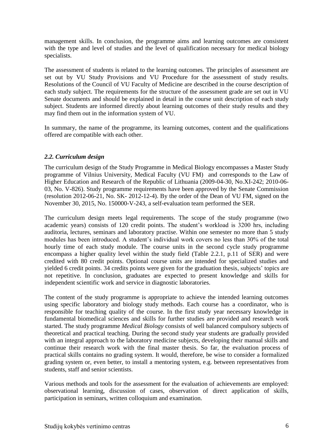management skills. In conclusion, the programme aims and learning outcomes are consistent with the type and level of studies and the level of qualification necessary for medical biology specialists.

The assessment of students is related to the learning outcomes. The principles of assessment are set out by VU Study Provisions and VU Procedure for the assessment of study results. Resolutions of the Council of VU Faculty of Medicine are described in the course description of each study subject. The requirements for the structure of the assessment grade are set out in VU Senate documents and should be explained in detail in the course unit description of each study subject. Students are informed directly about learning outcomes of their study results and they may find them out in the information system of VU.

In summary, the name of the programme, its learning outcomes, content and the qualifications offered are compatible with each other.

## <span id="page-5-0"></span>*2.2. Curriculum design*

The curriculum design of the Study Programme in Medical Biology encompasses a Master Study programme of Vilnius University, Medical Faculty (VU FM) and corresponds to the Law of Higher Education and Research of the Republic of Lithuania (2009-04-30, No.XI-242; 2010-06- 03, No. V-826). Study programme requirements have been approved by the Senate Commission (resolution 2012-06-21, No. SK- 2012-12-4). By the order of the Dean of VU FM, signed on the November 30, 2015, No. 150000-V-243, a self-evaluation team performed the SER.

The curriculum design meets legal requirements. The scope of the study programme (two academic years) consists of 120 credit points. The student's workload is 3200 hrs, including auditoria, lectures, seminars and laboratory practise. Within one semester no more than 5 study modules has been introduced. A student's individual work covers no less than 30% of the total hourly time of each study module. The course units in the second cycle study programme encompass a higher quality level within the study field (Table 2.2.1, p.11 of SER) and were credited with 80 credit points. Optional course units are intended for specialized studies and yielded 6 credit points. 34 credits points were given for the graduation thesis, subjects' topics are not repetitive. In conclusion, graduates are expected to present knowledge and skills for independent scientific work and service in diagnostic laboratories.

The content of the study programme is appropriate to achieve the intended learning outcomes using specific laboratory and biology study methods. Each course has a coordinator, who is responsible for teaching quality of the course. In the first study year necessary knowledge in fundamental biomedical sciences and skills for further studies are provided and research work started. The study programme *Medical Biology* consists of well balanced compulsory subjects of theoretical and practical teaching. During the second study year students are gradually provided with an integral approach to the laboratory medicine subjects, developing their manual skills and continue their research work with the final master thesis. So far, the evaluation process of practical skills contains no grading system. It would, therefore, be wise to consider a formalized grading system or, even better, to install a mentoring system, e.g. between representatives from students, staff and senior scientists.

Various methods and tools for the assessment for the evaluation of achievements are employed: observational learning, discussion of cases, observation of direct application of skills, participation in seminars, written colloquium and examination.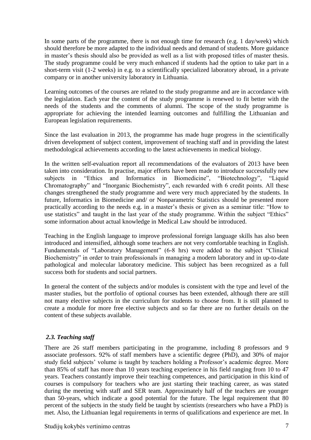In some parts of the programme, there is not enough time for research (e.g. 1 day/week) which should therefore be more adapted to the individual needs and demand of students. More guidance in master's thesis should also be provided as well as a list with proposed titles of master thesis. The study programme could be very much enhanced if students had the option to take part in a short-term visit (1-2 weeks) in e.g. to a scientifically specialized laboratory abroad, in a private company or in another university laboratory in Lithuania.

Learning outcomes of the courses are related to the study programme and are in accordance with the legislation. Each year the content of the study programme is renewed to fit better with the needs of the students and the comments of alumni. The scope of the study programme is appropriate for achieving the intended learning outcomes and fulfilling the Lithuanian and European legislation requirements.

Since the last evaluation in 2013, the programme has made huge progress in the scientifically driven development of subject content, improvement of teaching staff and in providing the latest methodological achievements according to the latest achievements in medical biology.

In the written self-evaluation report all recommendations of the evaluators of 2013 have been taken into consideration. In practise, major efforts have been made to introduce successfully new subjects in "Ethics and Informatics in Biomedicine", "Biotechnology", "Liquid Chromatography" and "Inorganic Biochemistry", each rewarded with 6 credit points. All these changes strengthened the study programme and were very much appreciated by the students. In future, Informatics in Biomedicine and/ or Nonparametric Statistics should be presented more practically according to the needs e.g. in a master's thesis or given as a seminar title: "How to use statistics" and taught in the last year of the study programme. Within the subject "Ethics" some information about actual knowledge in Medical Law should be introduced.

Teaching in the English language to improve professional foreign language skills has also been introduced and intensified, although some teachers are not very comfortable teaching in English. Fundamentals of "Laboratory Management" (6-8 hrs) were added to the subject "Clinical Biochemistry" in order to train professionals in managing a modern laboratory and in up-to-date pathological and molecular laboratory medicine. This subject has been recognized as a full success both for students and social partners.

In general the content of the subjects and/or modules is consistent with the type and level of the master studies, but the portfolio of optional courses has been extended, although there are still not many elective subjects in the curriculum for students to choose from. It is still planned to create a module for more free elective subjects and so far there are no further details on the content of these subjects available.

## <span id="page-6-0"></span>*2.3. Teaching staff*

There are 26 staff members participating in the programme, including 8 professors and 9 associate professors. 92% of staff members have a scientific degree (PhD), and 30% of major study field subjects' volume is taught by teachers holding a Professor's academic degree. More than 85% of staff has more than 10 years teaching experience in his field ranging from 10 to 47 years. Teachers constantly improve their teaching competences, and participation in this kind of courses is compulsory for teachers who are just starting their teaching career, as was stated during the meeting with staff and SER team. Approximately half of the teachers are younger than 50-years, which indicate a good potential for the future. The legal requirement that 80 percent of the subjects in the study field be taught by scientists (researchers who have a PhD) is met. Also, the Lithuanian legal requirements in terms of qualifications and experience are met. In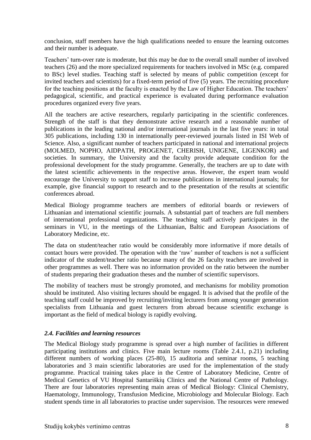conclusion, staff members have the high qualifications needed to ensure the learning outcomes and their number is adequate.

Teachers' turn-over rate is moderate, but this may be due to the overall small number of involved teachers (26) and the more specialized requirements for teachers involved in MSc (e.g. compared to BSc) level studies. Teaching staff is selected by means of public competition (except for invited teachers and scientists) for a fixed-term period of five (5) years. The recruiting procedure for the teaching positions at the faculty is enacted by the Law of Higher Education. The teachers' pedagogical, scientific, and practical experience is evaluated during performance evaluation procedures organized every five years.

All the teachers are active researchers, regularly participating in the scientific conferences. Strength of the staff is that they demonstrate active research and a reasonable number of publications in the leading national and/or international journals in the last five years: in total 305 publications, including 130 in internationally peer-reviewed journals listed in ISI Web of Science. Also, a significant number of teachers participated in national and international projects (MOLMED, NOPHO, AIDPATH, PROGENET, CHERISH, UNIGENE, LIGENKOR) and societies. In summary, the University and the faculty provide adequate condition for the professional development for the study programme. Generally, the teachers are up to date with the latest scientific achievements in the respective areas. However, the expert team would encourage the University to support staff to increase publications in international journals; for example, give financial support to research and to the presentation of the results at scientific conferences abroad.

Medical Biology programme teachers are members of editorial boards or reviewers of Lithuanian and international scientific journals. A substantial part of teachers are full members of international professional organizations. The teaching staff actively participates in the seminars in VU, in the meetings of the Lithuanian, Baltic and European Associations of Laboratory Medicine, etc.

The data on student/teacher ratio would be considerably more informative if more details of contact hours were provided. The operation with the 'raw' number of teachers is not a sufficient indicator of the student/teacher ratio because many of the 26 faculty teachers are involved in other programmes as well. There was no information provided on the ratio between the number of students preparing their graduation theses and the number of scientific supervisors.

The mobility of teachers must be strongly promoted, and mechanisms for mobility promotion should be instituted. Also visiting lectures should be engaged. It is advised that the profile of the teaching staff could be improved by recruiting/inviting lecturers from among younger generation specialists from Lithuania and guest lecturers from abroad because scientific exchange is important as the field of medical biology is rapidly evolving.

## <span id="page-7-0"></span>*2.4. Facilities and learning resources*

The Medical Biology study programme is spread over a high number of facilities in different participating institutions and clinics. Five main lecture rooms (Table 2.4.1, p.21) including different numbers of working places (25-80), 15 auditoria and seminar rooms, 5 teaching laboratories and 3 main scientific laboratories are used for the implementation of the study programme. Practical training takes place in the Centre of Laboratory Medicine, Centre of Medical Genetics of VU Hospital Santariškių Clinics and the National Centre of Pathology. There are four laboratories representing main areas of Medical Biology: Clinical Chemistry, Haematology, Immunology, Transfusion Medicine, Microbiology and Molecular Biology. Each student spends time in all laboratories to practise under supervision. The resources were renewed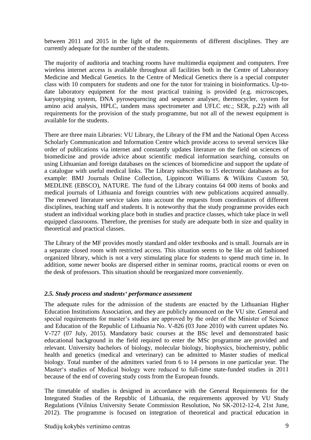between 2011 and 2015 in the light of the requirements of different disciplines. They are currently adequate for the number of the students.

The majority of auditoria and teaching rooms have multimedia equipment and computers. Free wireless internet access is available throughout all facilities both in the Centre of Laboratory Medicine and Medical Genetics. In the Centre of Medical Genetics there is a special computer class with 10 computers for students and one for the tutor for training in bioinformatics. Up-todate laboratory equipment for the most practical training is provided (e.g. microscopes, karyotyping system, DNA pyrosequencing and sequence analyser, thermocycler, system for amino acid analysis, HPLC, tandem mass spectrometer and UFLC etc.; SER, p.22) with all requirements for the provision of the study programme, but not all of the newest equipment is available for the students.

There are three main Libraries: VU Library, the Library of the FM and the National Open Access Scholarly Communication and Information Centre which provide access to several services like order of publications via internet and constantly updates literature on the field on sciences of biomedicine and provide advice about scientific medical information searching, consults on using Lithuanian and foreign databases on the sciences of biomedicine and support the update of a catalogue with useful medical links. The Library subscribes to 15 electronic databases as for example: BMJ Journals Online Collection, Lippincott Williams & Wilkins Custom 50, MEDLINE (EBSCO), NATURE. The fund of the Library contains 64 000 items of books and medical journals of Lithuania and foreign countries with new publications acquired annually. The renewed literature service takes into account the requests from coordinators of different disciplines, teaching staff and students. It is noteworthy that the study programme provides each student an individual working place both in studies and practice classes, which take place in well equipped classrooms. Therefore, the premises for study are adequate both in size and quality in theoretical and practical classes.

The Library of the MF provides mostly standard and older textbooks and is small. Journals are in a separate closed room with restricted access. This situation seems to be like an old fashioned organized library, which is not a very stimulating place for students to spend much time in. In addition, some newer books are dispersed either in seminar rooms, practical rooms or even on the desk of professors. This situation should be reorganized more conveniently.

## <span id="page-8-0"></span>*2.5. Study process and students' performance assessment*

The adequate rules for the admission of the students are enacted by the Lithuanian Higher Education Institutions Association, and they are publicly announced on the VU site. General and special requirements for master's studies are approved by the order of the Minister of Science and Education of the Republic of Lithuania No. V-826 (03 June 2010) with current updates No. V-727 (07 July, 2015). Mandatory basic courses at the BSc level and demonstrated basic educational background in the field required to enter the MSc programme are provided and relevant. University bachelors of biology, molecular biology, biophysics, biochemistry, public health and genetics (medical and veterinary) can be admitted to Master studies of medical biology. Total number of the admitters varied from 6 to 14 persons in one particular year. The Master's studies of Medical biology were reduced to full-time state-funded studies in 2011 because of the end of covering study costs from the European founds.

The timetable of studies is designed in accordance with the General Requirements for the Integrated Studies of the Republic of Lithuania, the requirements approved by VU Study Regulations (Vilnius University Senate Commission Resolution, No SK-2012-12-4, 21st June, 2012). The programme is focused on integration of theoretical and practical education in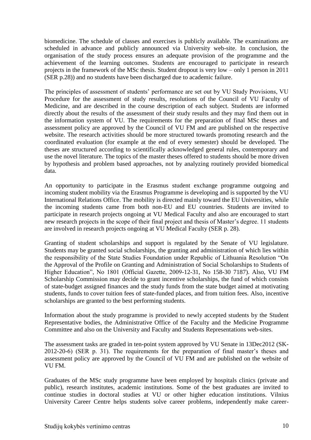biomedicine. The schedule of classes and exercises is publicly available. The examinations are scheduled in advance and publicly announced via University web-site. In conclusion, the organisation of the study process ensures an adequate provision of the programme and the achievement of the learning outcomes. Students are encouraged to participate in research projects in the framework of the MSc thesis. Student dropout is very low – only 1 person in 2011 (SER p.28)) and no students have been discharged due to academic failure.

The principles of assessment of students' performance are set out by VU Study Provisions, VU Procedure for the assessment of study results, resolutions of the Council of VU Faculty of Medicine, and are described in the course description of each subject. Students are informed directly about the results of the assessment of their study results and they may find them out in the information system of VU. The requirements for the preparation of final MSc theses and assessment policy are approved by the Council of VU FM and are published on the respective website. The research activities should be more structured towards promoting research and the coordinated evaluation (for example at the end of every semester) should be developed. The theses are structured according to scientifically acknowledged general rules, contemporary and use the novel literature. The topics of the master theses offered to students should be more driven by hypothesis and problem based approaches, not by analyzing routinely provided biomedical data.

An opportunity to participate in the Erasmus student exchange programme outgoing and incoming student mobility via the Erasmus Programme is developing and is supported by the VU International Relations Office. The mobility is directed mainly toward the EU Universities, while the incoming students came from both non-EU and EU countries. Students are invited to participate in research projects ongoing at VU Medical Faculty and also are encouraged to start new research projects in the scope of their final project and thesis of Master's degree. 11 students are involved in research projects ongoing at VU Medical Faculty (SER p. 28).

Granting of student scholarships and support is regulated by the Senate of VU legislature. Students may be granted social scholarships, the granting and administration of which lies within the responsibility of the State Studies Foundation under Republic of Lithuania Resolution "On the Approval of the Profile on Granting and Administration of Social Scholarships to Students of Higher Education", No 1801 (Official Gazette, 2009-12-31, No 158-30 7187). Also, VU FM Scholarship Commission may decide to grant incentive scholarships, the fund of which consists of state-budget assigned finances and the study funds from the state budget aimed at motivating students, funds to cover tuition fees of state-funded places, and from tuition fees. Also, incentive scholarships are granted to the best performing students.

Information about the study programme is provided to newly accepted students by the Student Representative bodies, the Administrative Office of the Faculty and the Medicine Programme Committee and also on the University and Faculty and Students Representations web-sites.

The assessment tasks are graded in ten-point system approved by VU Senate in 13Dec2012 (SK-2012-20-6) (SER p. 31). The requirements for the preparation of final master's theses and assessment policy are approved by the Council of VU FM and are published on the website of VU FM.

Graduates of the MSc study programme have been employed by hospitals clinics (private and public), research institutes, academic institutions. Some of the best graduates are invited to continue studies in doctoral studies at VU or other higher education institutions. Vilnius University Career Centre helps students solve career problems, independently make career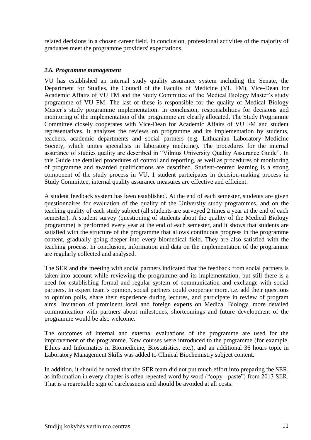related decisions in a chosen career field. In conclusion, professional activities of the majority of graduates meet the programme providers' expectations.

#### <span id="page-10-0"></span>*2.6. Programme management*

VU has established an internal study quality assurance system including the Senate, the Department for Studies, the Council of the Faculty of Medicine (VU FM), Vice-Dean for Academic Affairs of VU FM and the Study Committee of the Medical Biology Master's study programme of VU FM. The last of these is responsible for the quality of Medical Biology Master's study programme implementation. In conclusion, responsibilities for decisions and monitoring of the implementation of the programme are clearly allocated. The Study Programme Committee closely cooperates with Vice-Dean for Academic Affairs of VU FM and student representatives. It analyzes the reviews on programme and its implementation by students, teachers, academic departments and social partners (e.g. Lithuanian Laboratory Medicine Society, which unites specialists in laboratory medicine). The procedures for the internal assurance of studies quality are described in "Vilnius University Quality Assurance Guide". In this Guide the detailed procedures of control and reporting, as well as procedures of monitoring of programme and awarded qualifications are described. Student-centred learning is a strong component of the study process in VU, 1 student participates in decision-making process in Study Committee, internal quality assurance measures are effective and efficient.

A student feedback system has been established. At the end of each semester, students are given questionnaires for evaluation of the quality of the University study programmes, and on the teaching quality of each study subject (all students are surveyed 2 times a year at the end of each semester). A student survey (questioning of students about the quality of the Medical Biology programme) is performed every year at the end of each semester, and it shows that students are satisfied with the structure of the programme that allows continuous progress in the programme content, gradually going deeper into every biomedical field. They are also satisfied with the teaching process. In conclusion, information and data on the implementation of the programme are regularly collected and analysed.

The SER and the meeting with social partners indicated that the feedback from social partners is taken into account while reviewing the programme and its implementation, but still there is a need for establishing formal and regular system of communication and exchange with social partners. In expert team's opinion, social partners could cooperate more, i.e. add their questions to opinion polls, share their experience during lectures, and participate in review of program aims. Invitation of prominent local and foreign experts on Medical Biology, more detailed communication with partners about milestones, shortcomings and future development of the programme would be also welcome.

The outcomes of internal and external evaluations of the programme are used for the improvement of the programme. New courses were introduced to the programme (for example, Ethics and Informatics in Biomedicine, Biostatistics, etc.), and an additional 36 hours topic in Laboratory Management Skills was added to Clinical Biochemistry subject content.

In addition, it should be noted that the SER team did not put much effort into preparing the SER, as information in every chapter is often repeated word by word ("copy - paste") from 2013 SER. That is a regrettable sign of carelessness and should be avoided at all costs.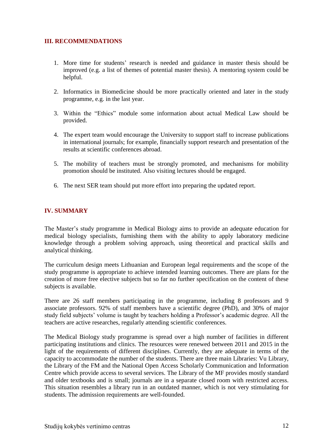## <span id="page-11-0"></span>**III. RECOMMENDATIONS**

- 1. More time for students' research is needed and guidance in master thesis should be improved (e.g. a list of themes of potential master thesis). A mentoring system could be helpful.
- 2. Informatics in Biomedicine should be more practically oriented and later in the study programme, e.g. in the last year.
- 3. Within the "Ethics" module some information about actual Medical Law should be provided.
- 4. The expert team would encourage the University to support staff to increase publications in international journals; for example, financially support research and presentation of the results at scientific conferences abroad.
- 5. The mobility of teachers must be strongly promoted, and mechanisms for mobility promotion should be instituted. Also visiting lectures should be engaged.
- 6. The next SER team should put more effort into preparing the updated report.

## <span id="page-11-1"></span>**IV. SUMMARY**

The Master's study programme in Medical Biology aims to provide an adequate education for medical biology specialists, furnishing them with the ability to apply laboratory medicine knowledge through a problem solving approach, using theoretical and practical skills and analytical thinking.

The curriculum design meets Lithuanian and European legal requirements and the scope of the study programme is appropriate to achieve intended learning outcomes. There are plans for the creation of more free elective subjects but so far no further specification on the content of these subjects is available.

There are 26 staff members participating in the programme, including 8 professors and 9 associate professors. 92% of staff members have a scientific degree (PhD), and 30% of major study field subjects' volume is taught by teachers holding a Professor's academic degree. All the teachers are active researches, regularly attending scientific conferences.

The Medical Biology study programme is spread over a high number of facilities in different participating institutions and clinics. The resources were renewed between 2011 and 2015 in the light of the requirements of different disciplines. Currently, they are adequate in terms of the capacity to accommodate the number of the students. There are three main Libraries: Vu Library, the Library of the FM and the National Open Access Scholarly Communication and Information Centre which provide access to several services. The Library of the MF provides mostly standard and older textbooks and is small; journals are in a separate closed room with restricted access. This situation resembles a library run in an outdated manner, which is not very stimulating for students. The admission requirements are well-founded.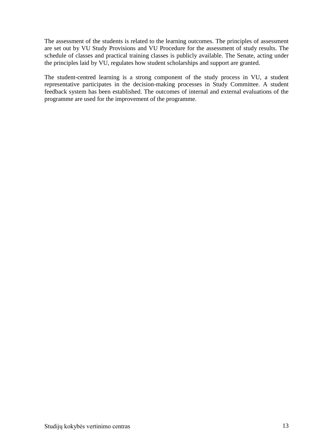The assessment of the students is related to the learning outcomes. The principles of assessment are set out by VU Study Provisions and VU Procedure for the assessment of study results. The schedule of classes and practical training classes is publicly available. The Senate, acting under the principles laid by VU, regulates how student scholarships and support are granted.

The student-centred learning is a strong component of the study process in VU, a student representative participates in the decision-making processes in Study Committee. A student feedback system has been established. The outcomes of internal and external evaluations of the programme are used for the improvement of the programme.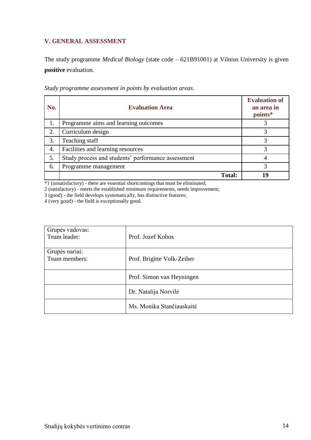## <span id="page-13-0"></span>**V. GENERAL ASSESSMENT**

The study programme *Medical Biology* (state code – 621B91001) at Vilnius University is given **positive** evaluation.

| No. | <b>Evaluation Area</b>                             | <b>Evaluation of</b><br>an area in<br>points* |
|-----|----------------------------------------------------|-----------------------------------------------|
| 1.  | Programme aims and learning outcomes               |                                               |
| 2.  | Curriculum design                                  |                                               |
| 3.  | Teaching staff                                     |                                               |
| 4.  | Facilities and learning resources                  | 3                                             |
| 5.  | Study process and students' performance assessment |                                               |
| 6.  | Programme management                               | 3                                             |
|     | <b>Total:</b>                                      | 19                                            |

*Study programme assessment in points by evaluation areas*.

\*1 (unsatisfactory) - there are essential shortcomings that must be eliminated;

2 (satisfactory) - meets the established minimum requirements, needs improvement;

3 (good) - the field develops systematically, has distinctive features;

4 (very good) - the field is exceptionally good.

| Grupės vadovas:<br>Team leader: | Prof. Jozef Kobos          |
|---------------------------------|----------------------------|
| Grupės nariai:<br>Team members: | Prof. Brigitte Volk-Zeiher |
|                                 | Prof. Simon van Heyningen  |
|                                 | Dr. Natalija Norvilė       |
|                                 | Ms. Monika Stančiauskaitė  |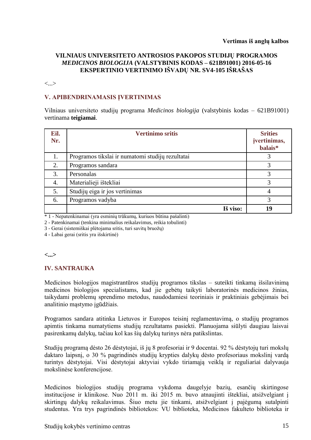#### **VILNIAUS UNIVERSITETO ANTROSIOS PAKOPOS STUDIJŲ PROGRAMOS**  *MEDICINOS BIOLOGIJA* **(VALSTYBINIS KODAS – 621B91001) 2016-05-16 EKSPERTINIO VERTINIMO IŠVADŲ NR. SV4-105 IŠRAŠAS**

<...>

## **V. APIBENDRINAMASIS ĮVERTINIMAS**

Vilniaus universiteto studijų programa *Medicinos biologija* (valstybinis kodas – 621B91001) vertinama **teigiamai**.

| Eil.<br>Nr. | <b>Vertinimo sritis</b>                          | <b>Srities</b><br>įvertinimas,<br>balais* |
|-------------|--------------------------------------------------|-------------------------------------------|
| 1.          | Programos tikslai ir numatomi studijų rezultatai | 3                                         |
| 2.          | Programos sandara                                | 3                                         |
| 3.          | Personalas                                       | 3                                         |
| 4.          | Materialieji ištekliai                           | 3                                         |
| 5.          | Studijų eiga ir jos vertinimas                   | 4                                         |
| 6.          | Programos vadyba                                 | 3                                         |
|             | Iš viso:                                         | 19                                        |

\* 1 - Nepatenkinamai (yra esminių trūkumų, kuriuos būtina pašalinti)

2 - Patenkinamai (tenkina minimalius reikalavimus, reikia tobulinti)

3 - Gerai (sistemiškai plėtojama sritis, turi savitų bruožų)

4 - Labai gerai (sritis yra išskirtinė)

#### **<...>**

#### **IV. SANTRAUKA**

Medicinos biologijos magistrantūros studijų programos tikslas – suteikti tinkamą išsilavinimą medicinos biologijos specialistams, kad jie gebėtų taikyti laboratorinės medicinos žinias, taikydami problemų sprendimo metodus, naudodamiesi teoriniais ir praktiniais gebėjimais bei analitinio mąstymo įgūdžiais.

Programos sandara atitinka Lietuvos ir Europos teisinį reglamentavimą, o studijų programos apimtis tinkama numatytiems studijų rezultatams pasiekti. Planuojama siūlyti daugiau laisvai pasirenkamų dalykų, tačiau kol kas šių dalykų turinys nėra patikslintas.

Studijų programą dėsto 26 dėstytojai, iš jų 8 profesoriai ir 9 docentai. 92 % dėstytojų turi mokslų daktaro laipsnį, o 30 % pagrindinės studijų krypties dalykų dėsto profesoriaus mokslinį vardą turintys dėstytojai. Visi dėstytojai aktyviai vykdo tiriamąją veiklą ir reguliariai dalyvauja mokslinėse konferencijose.

Medicinos biologijos studijų programa vykdoma daugelyje bazių, esančių skirtingose institucijose ir klinikose. Nuo 2011 m. iki 2015 m. buvo atnaujinti ištekliai, atsižvelgiant į skirtingų dalykų reikalavimus. Šiuo metu jie tinkami, atsižvelgiant į pajėgumą sutalpinti studentus. Yra trys pagrindinės bibliotekos: VU biblioteka, Medicinos fakulteto biblioteka ir